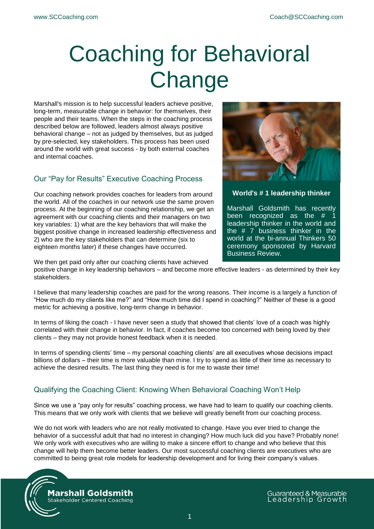# Coaching for Behavioral **Change**

Marshall's mission is to help successful leaders achieve positive, long-term, measurable change in behavior: for themselves, their people and their teams. When the steps in the coaching process described below are followed, leaders almost always positive behavioral change – not as judged by themselves, but as judged by pre-selected, key stakeholders. This process has been used around the world with great success - by both external coaches and internal coaches.

## Our "Pay for Results" Executive Coaching Process

Our coaching network provides coaches for leaders from around the world. All of the coaches in our network use the same proven process. At the beginning of our coaching relationship, we get an agreement with our coaching clients and their managers on two key variables: 1) what are the key behaviors that will make the biggest positive change in increased leadership effectiveness and 2) who are the key stakeholders that can determine (six to eighteen months later) if these changes have occurred.



#### **World's # 1 leadership thinker**

Marshall Goldsmith has recently been recognized as the  $#$ leadership thinker in the world and the # 7 business thinker in the world at the bi-annual Thinkers 50 ceremony sponsored by Harvard Business Review.

We then get paid only after our coaching clients have achieved

positive change in key leadership behaviors – and become more effective leaders - as determined by their key stakeholders.

I believe that many leadership coaches are paid for the wrong reasons. Their income is a largely a function of "How much do my clients like me?" and "How much time did I spend in coaching?" Neither of these is a good metric for achieving a positive, long-term change in behavior.

In terms of liking the coach - I have never seen a study that showed that clients' love of a coach was highly correlated with their change in behavior. In fact, if coaches become too concerned with being loved by their clients – they may not provide honest feedback when it is needed.

In terms of spending clients' time – my personal coaching clients' are all executives whose decisions impact billions of dollars – their time is more valuable than mine. I try to spend as little of their time as necessary to achieve the desired results. The last thing they need is for me to waste their time!

## Qualifying the Coaching Client: Knowing When Behavioral Coaching Won't Help

Since we use a "pay only for results" coaching process, we have had to learn to qualify our coaching clients. This means that we only work with clients that we believe will greatly benefit from our coaching process.

We do not work with leaders who are not really motivated to change. Have you ever tried to change the behavior of a successful adult that had no interest in changing? How much luck did you have? Probably none! We only work with executives who are willing to make a sincere effort to change and who believe that this change will help them become better leaders. Our most successful coaching clients are executives who are committed to being great role models for leadership development and for living their company's values.



Guaranteed & Measurable Leadership Growth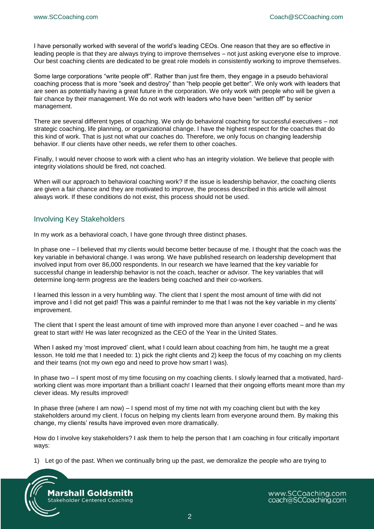I have personally worked with several of the world's leading CEOs. One reason that they are so effective in leading people is that they are always trying to improve themselves – not just asking everyone else to improve. Our best coaching clients are dedicated to be great role models in consistently working to improve themselves.

Some large corporations "write people off". Rather than just fire them, they engage in a pseudo behavioral coaching process that is more "seek and destroy" than "help people get better". We only work with leaders that are seen as potentially having a great future in the corporation. We only work with people who will be given a fair chance by their management. We do not work with leaders who have been "written off" by senior management.

There are several different types of coaching. We only do behavioral coaching for successful executives – not strategic coaching, life planning, or organizational change. I have the highest respect for the coaches that do this kind of work. That is just not what our coaches do. Therefore, we only focus on changing leadership behavior. If our clients have other needs, we refer them to other coaches.

Finally, I would never choose to work with a client who has an integrity violation. We believe that people with integrity violations should be fired, not coached.

When will our approach to behavioral coaching work? If the issue is leadership behavior, the coaching clients are given a fair chance and they are motivated to improve, the process described in this article will almost always work. If these conditions do not exist, this process should not be used.

#### Involving Key Stakeholders

In my work as a behavioral coach, I have gone through three distinct phases.

In phase one – I believed that my clients would become better because of me. I thought that the coach was the key variable in behavioral change. I was wrong. We have published research on leadership development that involved input from over 86,000 respondents. In our research we have learned that the key variable for successful change in leadership behavior is not the coach, teacher or advisor. The key variables that will determine long-term progress are the leaders being coached and their co-workers.

I learned this lesson in a very humbling way. The client that I spent the most amount of time with did not improve and I did not get paid! This was a painful reminder to me that I was not the key variable in my clients' improvement.

The client that I spent the least amount of time with improved more than anyone I ever coached – and he was great to start with! He was later recognized as the CEO of the Year in the United States.

When I asked my 'most improved' client, what I could learn about coaching from him, he taught me a great lesson. He told me that I needed to: 1) pick the right clients and 2) keep the focus of my coaching on my clients and their teams (not my own ego and need to prove how smart I was).

In phase two – I spent most of my time focusing on my coaching clients. I slowly learned that a motivated, hardworking client was more important than a brilliant coach! I learned that their ongoing efforts meant more than my clever ideas. My results improved!

In phase three (where I am now) – I spend most of my time not with my coaching client but with the key stakeholders around my client. I focus on helping my clients learn from everyone around them. By making this change, my clients' results have improved even more dramatically.

How do I involve key stakeholders? I ask them to help the person that I am coaching in four critically important ways:

1) Let go of the past. When we continually bring up the past, we demoralize the people who are trying to



www.SCCoaching.com coach@SCCoaching.com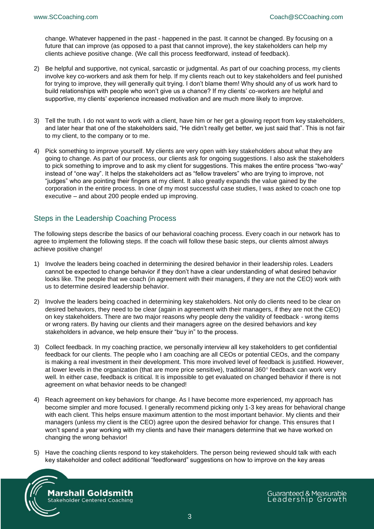change. Whatever happened in the past - happened in the past. It cannot be changed. By focusing on a future that can improve (as opposed to a past that cannot improve), the key stakeholders can help my clients achieve positive change. (We call this process feedforward, instead of feedback).

- 2) Be helpful and supportive, not cynical, sarcastic or judgmental. As part of our coaching process, my clients involve key co-workers and ask them for help. If my clients reach out to key stakeholders and feel punished for trying to improve, they will generally quit trying. I don't blame them! Why should any of us work hard to build relationships with people who won't give us a chance? If my clients' co-workers are helpful and supportive, my clients' experience increased motivation and are much more likely to improve.
- 3) Tell the truth. I do not want to work with a client, have him or her get a glowing report from key stakeholders, and later hear that one of the stakeholders said, "He didn't really get better, we just said that". This is not fair to my client, to the company or to me.
- 4) Pick something to improve yourself. My clients are very open with key stakeholders about what they are going to change. As part of our process, our clients ask for ongoing suggestions. I also ask the stakeholders to pick something to improve and to ask my client for suggestions. This makes the entire process "two-way" instead of "one way". It helps the stakeholders act as "fellow travelers" who are trying to improve, not "judges" who are pointing their fingers at my client. It also greatly expands the value gained by the corporation in the entire process. In one of my most successful case studies, I was asked to coach one top executive – and about 200 people ended up improving.

### Steps in the Leadership Coaching Process

The following steps describe the basics of our behavioral coaching process. Every coach in our network has to agree to implement the following steps. If the coach will follow these basic steps, our clients almost always achieve positive change!

- 1) Involve the leaders being coached in determining the desired behavior in their leadership roles. Leaders cannot be expected to change behavior if they don't have a clear understanding of what desired behavior looks like. The people that we coach (in agreement with their managers, if they are not the CEO) work with us to determine desired leadership behavior.
- 2) Involve the leaders being coached in determining key stakeholders. Not only do clients need to be clear on desired behaviors, they need to be clear (again in agreement with their managers, if they are not the CEO) on key stakeholders. There are two major reasons why people deny the validity of feedback - wrong items or wrong raters. By having our clients and their managers agree on the desired behaviors and key stakeholders in advance, we help ensure their "buy in" to the process.
- 3) Collect feedback. In my coaching practice, we personally interview all key stakeholders to get confidential feedback for our clients. The people who I am coaching are all CEOs or potential CEOs, and the company is making a real investment in their development. This more involved level of feedback is justified. However, at lower levels in the organization (that are more price sensitive), traditional 360° feedback can work very well. In either case, feedback is critical. It is impossible to get evaluated on changed behavior if there is not agreement on what behavior needs to be changed!
- 4) Reach agreement on key behaviors for change. As I have become more experienced, my approach has become simpler and more focused. I generally recommend picking only 1-3 key areas for behavioral change with each client. This helps ensure maximum attention to the most important behavior. My clients and their managers (unless my client is the CEO) agree upon the desired behavior for change. This ensures that I won't spend a year working with my clients and have their managers determine that we have worked on changing the wrong behavior!
- 5) Have the coaching clients respond to key stakeholders. The person being reviewed should talk with each key stakeholder and collect additional "feedforward" suggestions on how to improve on the key areas